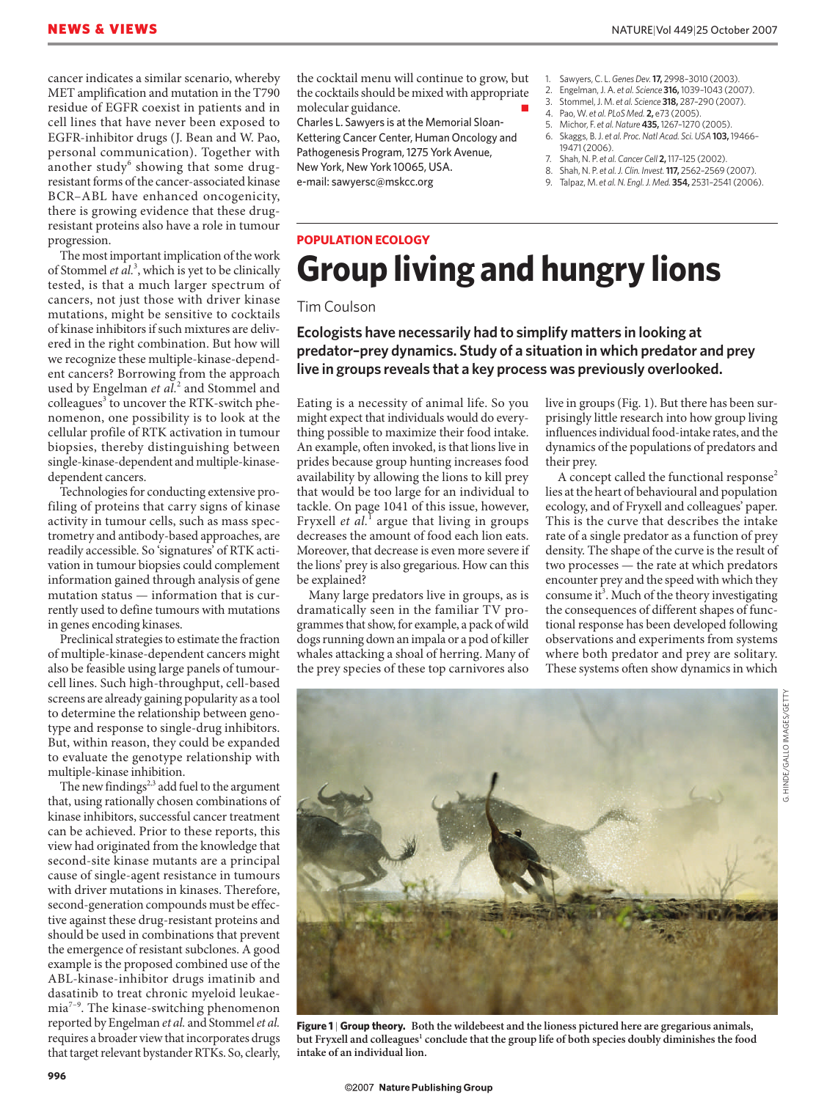cancer indicates a similar scenario, whereby MET amplification and mutation in the T790 residue of EGFR coexist in patients and in cell lines that have never been exposed to EGFR-inhibitor drugs (J. Bean and W. Pao, personal communication). Together with another study<sup>6</sup> showing that some drugresistant forms of the cancer-associated kinase BCR–ABL have enhanced oncogenicity, there is growing evidence that these drugresistant proteins also have a role in tumour progression.

The most important implication of the work of Stommel *et al.*<sup>3</sup> , which is yet to be clinically tested, is that a much larger spectrum of cancers, not just those with driver kinase mutations, might be sensitive to cocktails of kinase inhibitors if such mixtures are delivered in the right combination. But how will we recognize these multiple-kinase-dependent cancers? Borrowing from the approach used by Engelman *et al.*<sup>2</sup> and Stommel and colleagues<sup>3</sup> to uncover the RTK-switch phenomenon, one possibility is to look at the cellular profile of RTK activation in tumour biopsies, thereby distinguishing between single-kinase-dependent and multiple-kinasedependent cancers.

Technologies for conducting extensive profiling of proteins that carry signs of kinase activity in tumour cells, such as mass spectrometry and antibody-based approaches, are readily accessible. So 'signatures' of RTK activation in tumour biopsies could complement information gained through analysis of gene mutation status — information that is currently used to define tumours with mutations in genes encoding kinases.

Preclinical strategies to estimate the fraction of multiple-kinase-dependent cancers might also be feasible using large panels of tumourcell lines. Such high-throughput, cell-based screens are already gaining popularity as a tool to determine the relationship between genotype and response to single-drug inhibitors. But, within reason, they could be expanded to evaluate the genotype relationship with multiple-kinase inhibition.

The new findings $2,3$  add fuel to the argument that, using rationally chosen combinations of kinase inhibitors, successful cancer treatment can be achieved. Prior to these reports, this view had originated from the knowledge that second-site kinase mutants are a principal cause of single-agent resistance in tumours with driver mutations in kinases. Therefore, second-generation compounds must be effective against these drug-resistant proteins and should be used in combinations that prevent the emergence of resistant subclones. A good example is the proposed combined use of the ABL-kinase-inhibitor drugs imatinib and dasatinib to treat chronic myeloid leukaemia7–9. The kinase-switching phenomenon reported by Engelman *et al.* and Stommel *et al.* requires a broader view that incorporates drugs that target relevant bystander RTKs. So, clearly,

the cocktail menu will continue to grow, but the cocktails should be mixed with appropriate molecular guidance.

Charles L. Sawyers is at the Memorial Sloan-Kettering Cancer Center, Human Oncology and Pathogenesis Program, 1275 York Avenue, New York, New York 10065, USA. e-mail: sawyersc@mskcc.org

- 1. Sawyers, C. L. *Genes Dev.***17,** 2998–3010 (2003).
- 2. Engelman, J. A. *et al. Science* **316,** 1039–1043 (2007).
- 3. Stommel, J. M. *et al. Science* **318,** 287–290 (2007).
- 4. Pao, W. *et al. PLoS Med.* **2,** e73 (2005). 5. Michor, F. *et al.Nature* **435,** 1267–1270 (2005).
- 6. Skaggs, B. J. *et al. Proc. Natl Acad. Sci. USA* **103,** 19466– 19471 (2006).
- 7. Shah, N. P. *et al. Cancer Cell* **2,** 117–125 (2002).
- 8. Shah, N. P. *et al.J. Clin. Invest.***117,** 2562–2569 (2007).
- 9. Talpaz, M. *et al.N. Engl. J. Med.* **354,** 2531–2541 (2006).

# **POPULATION ECOLOGY Group living and hungry lions**

#### Tim Coulson

### **Ecologists have necessarily had to simplify matters in looking at predator–prey dynamics. Study of a situation in which predator and prey live in groups reveals that a key process was previously overlooked.**

Eating is a necessity of animal life. So you might expect that individuals would do everything possible to maximize their food intake. An example, often invoked, is that lions live in prides because group hunting increases food availability by allowing the lions to kill prey that would be too large for an individual to tackle. On page 1041 of this issue, however, Fryxell *et al.*<sup>1</sup> argue that living in groups decreases the amount of food each lion eats. Moreover, that decrease is even more severe if the lions' prey is also gregarious. How can this be explained?

Many large predators live in groups, as is dramatically seen in the familiar TV programmes that show, for example, a pack of wild dogs running down an impala or a pod of killer whales attacking a shoal of herring. Many of the prey species of these top carnivores also

live in groups (Fig. 1). But there has been surprisingly little research into how group living influences individual food-intake rates, and the dynamics of the populations of predators and their prey.

A concept called the functional response<sup>2</sup> lies at the heart of behavioural and population ecology, and of Fryxell and colleagues' paper. This is the curve that describes the intake rate of a single predator as a function of prey density. The shape of the curve is the result of two processes — the rate at which predators encounter prey and the speed with which they consume it<sup>3</sup>. Much of the theory investigating the consequences of different shapes of functional response has been developed following observations and experiments from systems where both predator and prey are solitary. These systems often show dynamics in which

G. HINDE/GALLO IMAGES/GETTY



**Figure 1** | **Group theory. Both the wildebeest and the lioness pictured here are gregarious animals,**  but Fryxell and colleagues<sup>1</sup> conclude that the group life of both species doubly diminishes the food **intake of an individual lion.**